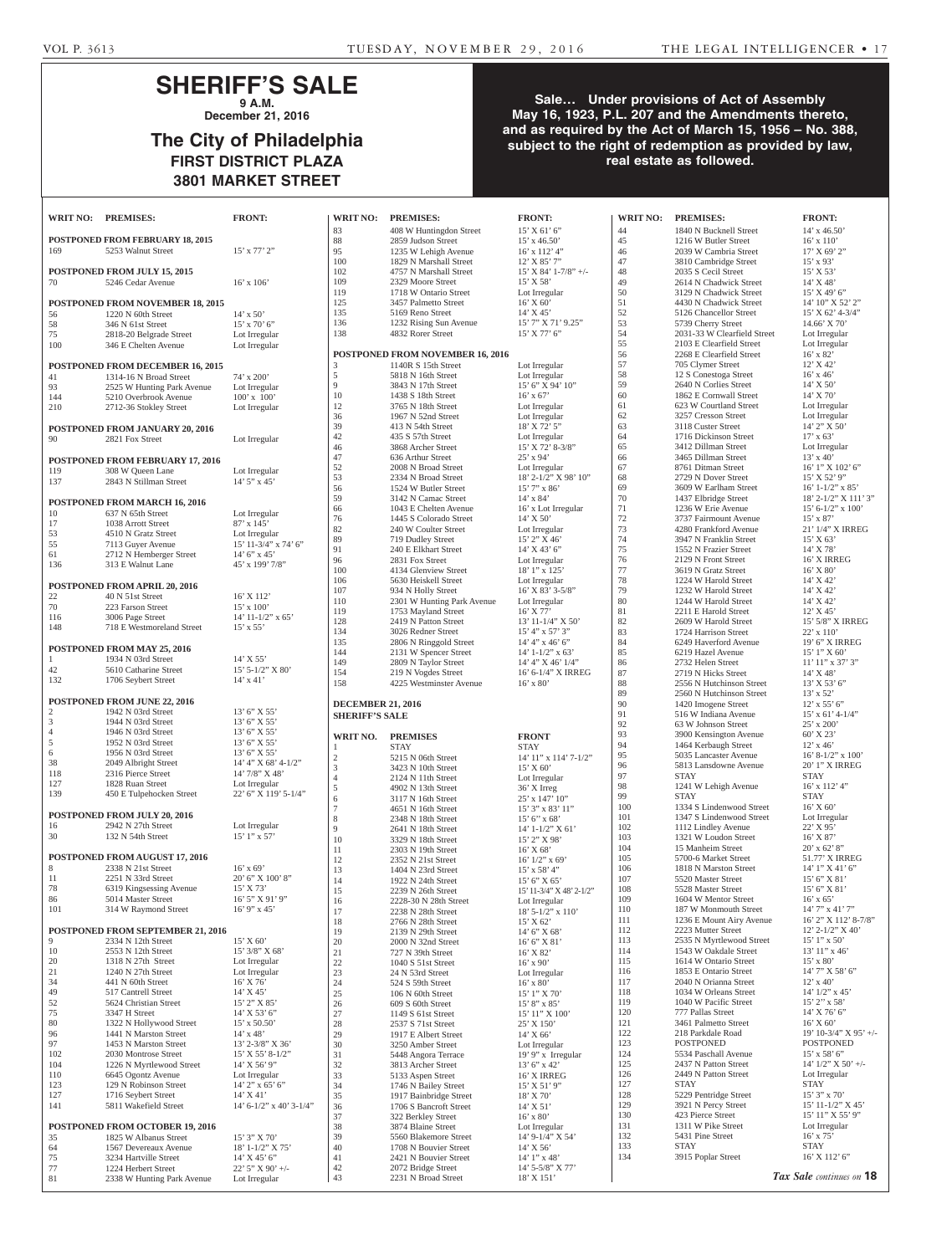## **SHERIFF'S SALE 9 A.M.**

**December 21, 2016**

# **The City of Philadelphia FIRST DISTRICT PLAZA 3801 MARKET STREET**

## **Sale… Under provisions of Act of Assembly May 16, 1923, P.L. 207 and the Amendments thereto, and as required by the Act of March 15, 1956 – No. 388, subject to the right of redemption as provided by law, real estate as followed.**

| <b>WRIT NO:</b> | <b>PREMISES:</b>                                           | <b>FRONT:</b>                                |
|-----------------|------------------------------------------------------------|----------------------------------------------|
| 169             | POSTPONED FROM FEBRUARY 18, 2015<br>5253 Walnut Street     | $15'$ x $77'$ $2''$                          |
| 70              | POSTPONED FROM JULY 15, 2015<br>5246 Cedar Avenue          | $16'$ x $106'$                               |
|                 | POSTPONED FROM NOVEMBER 18, 2015                           |                                              |
| 56              | 1220 N 60th Street                                         | $14' \times 50'$                             |
| 58<br>75        | 346 N 61st Street<br>2818-20 Belgrade Street               | $15'$ x 70' 6"<br>Lot Irregular              |
| 100             | 346 E Chelten Avenue                                       | Lot Irregular                                |
|                 |                                                            |                                              |
| 41              | POSTPONED FROM DECEMBER 16, 2015<br>1314-16 N Broad Street |                                              |
| 93              | 2525 W Hunting Park Avenue                                 | 74' x 200'<br>Lot Irregular                  |
| 144             | 5210 Overbrook Avenue                                      | $100'$ x $100'$                              |
| 210             | 2712-36 Stokley Street                                     | Lot Irregular                                |
| 90              | POSTPONED FROM JANUARY 20, 2016<br>2821 Fox Street         | Lot Irregular                                |
|                 | POSTPONED FROM FEBRUARY 17, 2016                           |                                              |
| 119             | 308 W Queen Lane                                           | Lot Irregular                                |
| 137             | 2843 N Stillman Street                                     | $14'5''$ x 45'                               |
|                 | POSTPONED FROM MARCH 16, 2016                              |                                              |
| 10              | 637 N 65th Street                                          | Lot Irregular                                |
| 17              | 1038 Arrott Street                                         | 87' x 145'                                   |
| 53<br>55        | 4510 N Gratz Street                                        | Lot Irregular<br>15' 11-3/4" x 74' 6"        |
| 61              | 7113 Guyer Avenue<br>2712 N Hemberger Street               | $14'$ 6" x 45"                               |
| 136             | 313 E Walnut Lane                                          | 45' x 199' 7/8"                              |
|                 |                                                            |                                              |
| 22              | POSTPONED FROM APRIL 20, 2016<br>40 N 51st Street          | 16' X 112'                                   |
| 70              | 223 Farson Street                                          | $15' \times 100'$                            |
| 116             | 3006 Page Street                                           | 14' 11-1/2" x 65'                            |
| 148             | 718 E Westmoreland Street                                  | $15' \times 55'$                             |
|                 | POSTPONED FROM MAY 25, 2016                                |                                              |
| 1               | 1934 N 03rd Street                                         | 14' X 55'                                    |
| 42<br>132       | 5610 Catharine Street<br>1706 Seybert Street               | 15' 5-1/2" X 80'<br>$14' \times 41'$         |
|                 | POSTPONED FROM JUNE 22, 2016                               |                                              |
| 2               | 1942 N 03rd Street                                         | 13' 6" X 55'                                 |
| 3               | 1944 N 03rd Street                                         | 13' 6" X 55'                                 |
| 4               | 1946 N 03rd Street                                         | $13'$ 6" X 55"                               |
| 5<br>6          | 1952 N 03rd Street<br>1956 N 03rd Street                   | 13' 6" X 55'<br>$13^\circ$ 6" X 55"          |
| 38              | 2049 Albright Street                                       | 14' 4" X 68' 4-1/2"                          |
| 118             | 2316 Pierce Street                                         | 14' 7/8" X 48'                               |
| 127             | 1828 Ruan Street                                           | Lot Irregular<br>22' 6" X 119' 5-1/4"        |
| 139             | 450 E Tulpehocken Street                                   |                                              |
|                 | POSTPONED FROM JULY 20, 2016                               |                                              |
| 16              | 2942 N 27th Street                                         | Lot Irregular                                |
| 30              | 132 N 54th Street                                          | 15' 1" x 57'                                 |
|                 | POSTPONED FROM AUGUST 17, 2016                             |                                              |
| 8               | 2338 N 21st Street                                         | $16'$ x 69'                                  |
| 11<br>78        | 2251 N 33rd Street                                         | 20' 6" X 100' 8"<br>15' X 73'                |
| 86              | 6319 Kingsessing Avenue<br>5014 Master Street              | 16' 5" X 91' 9"                              |
| 101             | 314 W Raymond Street                                       | 16' 9" x 45'                                 |
|                 |                                                            |                                              |
| 9               | POSTPONED FROM SEPTEMBER 21, 2016<br>2334 N 12th Street    | 15' X 60'                                    |
| 10              | 2553 N 12th Street                                         | $15^\circ\,3/8^{\prime\prime}$ X $68^\prime$ |
| 20              | 1318 N 27th Street                                         | Lot Irregular                                |
| 21              | 1240 N 27th Street                                         | Lot Irregular                                |
| 34<br>49        | 441 N 60th Street<br>517 Cantrell Street                   | 16' X 76'<br>14' X 45'                       |
| 52              | 5624 Christian Street                                      | $15^\circ\,2^{\prime\prime}$ X $85^\circ$    |
| 75              | 3347 H Street                                              | 14' X 53' 6"                                 |
| 80<br>96        | 1322 N Hollywood Street<br>1441 N Marston Street           | $15'$ x 50.50'                               |
| 97              | 1453 N Marston Street                                      | $14'$ x $48'$<br>13' 2-3/8" X 36'            |
| 102             | 2030 Montrose Street                                       | $15'$ X 55' 8-1/2"                           |
| 104             | 1226 N Myrtlewood Street                                   | 14' X 56' 9"                                 |
| 110<br>123      | 6645 Ogontz Avenue<br>129 N Robinson Street                | Lot Irregular<br>14' 2" x 65' 6"             |
| 127             | 1716 Seybert Street                                        | 14' X 41'                                    |
| 141             | 5811 Wakefield Street                                      | $14'$ 6-1/2" x 40' 3-1/4"                    |
|                 | POSTPONED FROM OCTOBER 19, 2016                            |                                              |
| 35              | 1825 W Albanus Street                                      | 15' 3" X 70'                                 |
| 64              | 1567 Devereaux Avenue                                      | 18' 1-1/2" X 75'                             |
| 75<br>77        | 3234 Hartville Street<br>1224 Herbert Street               | $14'$ X $45'$ 6"<br>22' 5" X 90' +/-         |
| 81              | 2338 W Hunting Park Avenue Lot Irregular                   |                                              |

| 83                                                | 408 W Huntingdon Street                   | 15' X 61' 6"                                                                                  |
|---------------------------------------------------|-------------------------------------------|-----------------------------------------------------------------------------------------------|
|                                                   |                                           |                                                                                               |
| 88                                                | 2859 Judson Street                        | $15'$ x 46.50'                                                                                |
| 95                                                | 1235 W Lehigh Avenue                      | 16' x 112' 4"                                                                                 |
| 100                                               | 1829 N Marshall Street                    | 12' X 85' 7"                                                                                  |
| 102                                               | 4757 N Marshall Street                    | $15'$ X 84' 1-7/8" +/-                                                                        |
| 109                                               | 2329 Moore Street                         | 15' X 58'                                                                                     |
| 119                                               | 1718 W Ontario Street                     | Lot Irregular                                                                                 |
|                                                   |                                           |                                                                                               |
| 125                                               | 3457 Palmetto Street                      | $16'$ X 60'                                                                                   |
| 135                                               | 5169 Reno Street                          | $14'$ X $45'$                                                                                 |
| 136                                               | 1232 Rising Sun Avenue                    | 15' 7" X 71' 9.25"                                                                            |
| 138                                               | 4832 Rorer Street                         | 15' X 77' 6"                                                                                  |
|                                                   |                                           |                                                                                               |
|                                                   |                                           |                                                                                               |
|                                                   | <b>POSTPONED FROM NOVEMBER 16, 2016</b>   |                                                                                               |
| 3                                                 | 1140R S 15th Street                       | Lot Irregular                                                                                 |
| 5                                                 | 5818 N 16th Street                        | Lot Irregular                                                                                 |
| 9                                                 | 3843 N 17th Street                        | 15' 6" X 94' 10"                                                                              |
| 10                                                | 1438 S 18th Street                        | $16' \times 67'$                                                                              |
| 12                                                |                                           |                                                                                               |
|                                                   | 3765 N 18th Street                        | Lot Irregular                                                                                 |
| 36                                                | 1967 N 52nd Street                        | Lot Irregular                                                                                 |
| 39                                                | 413 N 54th Street                         | 18' X 72' 5"                                                                                  |
| 42                                                | 435 S 57th Street                         | Lot Irregular                                                                                 |
| 46                                                | 3868 Archer Street                        | 15' X 72' 8-3/8"                                                                              |
| 47                                                | 636 Arthur Street                         | 25' x 94'                                                                                     |
|                                                   |                                           |                                                                                               |
| 52                                                | 2008 N Broad Street                       | Lot Irregular                                                                                 |
| 53                                                | 2334 N Broad Street                       | 18' 2-1/2" X 98' 10"                                                                          |
| 56                                                | 1524 W Butler Street                      | $15'7''$ x 86'                                                                                |
| 59                                                | 3142 N Camac Street                       | $14' \times 84'$                                                                              |
|                                                   |                                           |                                                                                               |
| 66                                                | 1043 E Chelten Avenue                     | 16' x Lot Irregular                                                                           |
| 76                                                | 1445 S Colorado Street                    | $14'$ X 50'                                                                                   |
| 82                                                | 240 W Coulter Street                      | Lot Irregular                                                                                 |
| 89                                                | 719 Dudley Street                         | 15' 2" X 46'                                                                                  |
|                                                   | 240 E Elkhart Street                      | 14' X 43' 6"                                                                                  |
| 91                                                |                                           |                                                                                               |
| 96                                                | 2831 Fox Street                           | Lot Irregular                                                                                 |
| 100                                               | 4134 Glenview Street                      | 18' 1" x 125'                                                                                 |
| 106                                               | 5630 Heiskell Street                      | Lot Irregular                                                                                 |
| 107                                               | 934 N Holly Street                        | $16'$ X 83' 3-5/8"                                                                            |
|                                                   |                                           |                                                                                               |
| 110                                               | 2301 W Hunting Park Avenue                | Lot Irregular                                                                                 |
| 119                                               | 1753 Mayland Street                       | $16'$ X 77'                                                                                   |
| 128                                               | 2419 N Patton Street                      | 13' 11-1/4" X 50'                                                                             |
| 134                                               | 3026 Redner Street                        | 15' 4" x 57' 3"                                                                               |
| 135                                               | 2806 N Ringgold Street                    | 14' 4" x 46' 6"                                                                               |
|                                                   |                                           |                                                                                               |
| 144                                               | 2131 W Spencer Street                     | $14'$ 1-1/2" x 63'                                                                            |
| 149                                               | 2809 N Taylor Street                      | 14' 4" X 46' 1/4"                                                                             |
| 154                                               | 219 N Vogdes Street                       | 16' 6-1/4" X IRREG                                                                            |
| 158                                               | 4225 Westminster Avenue                   | $16'$ x $80'$                                                                                 |
|                                                   |                                           |                                                                                               |
|                                                   |                                           |                                                                                               |
| <b>DECEMBER 21, 2016</b><br><b>SHERIFF'S SALE</b> |                                           |                                                                                               |
|                                                   |                                           |                                                                                               |
| WRIT NO.                                          | <b>PREMISES</b>                           | <b>FRONT</b>                                                                                  |
| 1                                                 | STAY                                      | <b>STAY</b>                                                                                   |
|                                                   |                                           |                                                                                               |
| 2                                                 | 5215 N 06th Street                        | 14' 11" x 114' 7-1/2"                                                                         |
| 3                                                 | 3423 N 10th Street                        | 15' X 60'                                                                                     |
| 4                                                 | 2124 N 11th Street                        | Lot Irregular                                                                                 |
| 5                                                 | 4902 N 13th Street                        | 36' X Irreg                                                                                   |
| 6                                                 | 3117 N 16th Street                        | $25'$ x $147'$ $10''$                                                                         |
| 7                                                 | 4651 N 16th Street                        |                                                                                               |
|                                                   |                                           | $15^\circ\!\!\!\!\!\!\!\!\!3^{\prime\prime}\!\!\!\!\!\!x$ 83' $11^{\prime\prime}\!\!\!\!\!\!$ |
| 8                                                 | 2348 N 18th Street                        | $15'6''$ x 68'                                                                                |
| 9                                                 | 2641 N 18th Street                        | 14' 1-1/2" X 61'                                                                              |
| 10                                                | 3329 N 18th Street                        | 15' 2" X 98'                                                                                  |
| 11                                                | 2303 N 19th Street                        | 16' X 68'                                                                                     |
| 12                                                | 2352 N 21st Street                        | $16'$ $1/2"$ x $69'$                                                                          |
| 13                                                | 1404 N 23rd Street                        | 15' x 58' 4"                                                                                  |
|                                                   |                                           |                                                                                               |
| 14                                                | 1922 N 24th Street                        | $15^\circ\,6^\circ$ X $65^\circ$                                                              |
| 15                                                | 2239 N 26th Street                        | 15' 11-3/4" X 48' 2-1/2"                                                                      |
| 16                                                | 2228-30 N 28th Street                     | Lot Irregular                                                                                 |
| 17                                                | 2238 N 28th Street                        | 18' 5-1/2" x 110'                                                                             |
| 18                                                | 2766 N 28th Street                        | 15' X 62'                                                                                     |
| 19                                                | 2139 N 29th Street                        | 14' 6" X 68'                                                                                  |
|                                                   |                                           |                                                                                               |
| 20                                                | 2000 N 32nd Street                        | 16' 6" X 81'                                                                                  |
| 21                                                | 727 N 39th Street                         | 16' X 82'                                                                                     |
| 22                                                | 1040 S 51st Street                        | 16' x 90'                                                                                     |
| 23                                                | 24 N 53rd Street                          | Lot Irregular                                                                                 |
|                                                   |                                           |                                                                                               |
| 24                                                | 524 S 59th Street                         | $16'$ x $80'$                                                                                 |
| 25                                                | 106 N 60th Street                         | $15^\circ$ l" X $70^\circ$                                                                    |
| 26                                                | 609 S 60th Street                         | 15' 8" x 85'                                                                                  |
| 27                                                | 1149 S 61st Street                        | 15' 11" X 100'                                                                                |
| 28                                                | 2537 S 71st Street                        | 25' X 150'                                                                                    |
| 29                                                | 1917 E Albert Street                      | 14' X 66'                                                                                     |
|                                                   | 3250 Amber Street                         |                                                                                               |
| 30                                                |                                           | Lot Irregular                                                                                 |
| 31                                                | 5448 Angora Terrace                       | 19' 9" x Irregular                                                                            |
| 32                                                | 3813 Archer Street                        | 13' 6''  x 42'                                                                                |
| 33                                                | 5133 Aspen Street                         | 16' X IRREG                                                                                   |
| 34                                                | 1746 N Bailey Street                      | 15' X 51' 9"                                                                                  |
| 35                                                | 1917 Bainbridge Street                    | 18' X 70'                                                                                     |
|                                                   |                                           |                                                                                               |
| 36                                                | 1706 S Bancroft Street                    | 14' X 51'                                                                                     |
| 37                                                | 322 Berkley Street                        | $16'$ x $80'$                                                                                 |
| 38                                                | 3874 Blaine Street                        | Lot Irregular                                                                                 |
| 39                                                | 5560 Blakemore Street                     | 14' 9-1/4" X 54'                                                                              |
| 40                                                | 1708 N Bouvier Street                     | 14' X 56'                                                                                     |
|                                                   |                                           |                                                                                               |
| 41                                                | 2421 N Bouvier Street                     | 14' 1" x 48'                                                                                  |
| 42<br>43                                          | 2072 Bridge Street<br>2231 N Broad Street | 14' 5-5/8" X 77'<br>18' X 151'                                                                |

| <b>WRIT NO:</b>                                   | <b>PREMISES:</b>                                 | <b>FRONT:</b>                       | <b>WRIT NO:</b> | <b>PREMISES:</b>                                     | <b>FRONT:</b>                            |
|---------------------------------------------------|--------------------------------------------------|-------------------------------------|-----------------|------------------------------------------------------|------------------------------------------|
| 83                                                | 408 W Huntingdon Street                          | 15' X 61' 6''                       | 44              | 1840 N Bucknell Street                               | $14'$ x $46.50'$                         |
| 88                                                | 2859 Judson Street                               | $15'$ x 46.50                       | 45              | 1216 W Butler Street                                 | $16'$ x $110'$                           |
| 95                                                | 1235 W Lehigh Avenue                             | $16'$ x $112'$ 4"                   | 46              | 2039 W Cambria Street                                | 17' X 69' 2''                            |
| 100                                               | 1829 N Marshall Street                           | $12'$ X 85' 7"                      | 47              | 3810 Cambridge Street                                | $15'$ x 93'                              |
| 102                                               | 4757 N Marshall Street                           | 15' X 84' 1-7/8" +/-                | 48              | 2035 S Cecil Street                                  | $15'$ X 53'                              |
| 109                                               | 2329 Moore Street                                | 15' X 58'                           | 49              | 2614 N Chadwick Street                               | 14' X 48'                                |
| 119                                               | 1718 W Ontario Street                            | Lot Irregular                       | 50              | 3129 N Chadwick Street                               | $15'$ X 49' 6"                           |
| 125                                               | 3457 Palmetto Street                             | $16'$ X 60'                         | 51              | 4430 N Chadwick Street                               | 14' 10" X 52' 2"                         |
| 135<br>136                                        | 5169 Reno Street                                 | 14' X 45'<br>15' 7" X 71' 9.25"     | 52<br>53        | 5126 Chancellor Street                               | $15'$ X 62' 4-3/4"                       |
| 138                                               | 1232 Rising Sun Avenue<br>4832 Rorer Street      | $15'$ X 77' 6"                      | 54              | 5739 Cherry Street<br>2031-33 W Clearfield Street    | 14.66' X 70'                             |
|                                                   |                                                  |                                     | 55              | 2103 E Clearfield Street                             | Lot Irregular<br>Lot Irregular           |
|                                                   | POSTPONED FROM NOVEMBER 16, 2016                 |                                     | 56              | 2268 E Clearfield Street                             | $16'$ x 82'                              |
| 3                                                 | 1140R S 15th Street                              | Lot Irregular                       | 57              | 705 Clymer Street                                    | 12'X42'                                  |
| 5                                                 | 5818 N 16th Street                               | Lot Irregular                       | 58              | 12 S Conestoga Street                                | $16'$ x $46'$                            |
| 9                                                 | 3843 N 17th Street                               | 15' 6" X 94' 10"                    | 59              | 2640 N Corlies Street                                | $14'$ X 50'                              |
| 10                                                | 1438 S 18th Street                               | $16'$ x 67'                         | 60              | 1862 E Cornwall Street                               | 14' X 70'                                |
| 12                                                | 3765 N 18th Street                               | Lot Irregular                       | 61              | 623 W Courtland Street                               | Lot Irregular                            |
| 36                                                | 1967 N 52nd Street                               | Lot Irregular                       | 62              | 3257 Cresson Street                                  | Lot Irregular                            |
| 39                                                | 413 N 54th Street                                | 18' X 72' 5"                        | 63              | 3118 Custer Street                                   | 14' 2" X 50'                             |
| 42                                                | 435 S 57th Street                                | Lot Irregular<br>15' X 72' 8-3/8"   | 64              | 1716 Dickinson Street                                | $17'$ x 63'                              |
| 46<br>47                                          | 3868 Archer Street<br>636 Arthur Street          | $25'$ x 94'                         | 65<br>66        | 3412 Dillman Street<br>3465 Dillman Street           | Lot Irregular<br>$13'$ x 40'             |
| 52                                                | 2008 N Broad Street                              | Lot Irregular                       | 67              | 8761 Ditman Street                                   | 16' 1" X 102' 6"                         |
| 53                                                | 2334 N Broad Street                              | $18'$ 2-1/2" X 98' $10"$            | 68              | 2729 N Dover Street                                  | 15' X 52' 9"                             |
| 56                                                | 1524 W Butler Street                             | $15'7''$ x 86'                      | 69              | 3609 W Earlham Street                                | $16'$ 1-1/2" x 85'                       |
| 59                                                | 3142 N Camac Street                              | $14'$ x $84'$                       | 70              | 1437 Elbridge Street                                 | 18' 2-1/2" X 111' 3"                     |
| 66                                                | 1043 E Chelten Avenue                            | 16' x Lot Irregular                 | 71              | 1236 W Erie Avenue                                   | $15'$ 6-1/2" x 100"                      |
| 76                                                | 1445 S Colorado Street                           | $14'$ X 50'                         | 72              | 3737 Fairmount Avenue                                | $15'$ x 87'                              |
| 82                                                | 240 W Coulter Street                             | Lot Irregular                       | 73              | 4280 Frankford Avenue                                | 21' 1/4" X IRREG                         |
| 89                                                | 719 Dudley Street                                | 15' 2" X 46'                        | 74              | 3947 N Franklin Street                               | 15' X 63'                                |
| 91                                                | 240 E Elkhart Street                             | $14'$ X 43' 6"                      | 75              | 1552 N Frazier Street                                | 14' X 78'                                |
| 96                                                | 2831 Fox Street                                  | Lot Irregular                       | 76              | 2129 N Front Street                                  | 16' X IRREG                              |
| 100                                               | 4134 Glenview Street                             | $18'1''$ x $125'$                   | 77              | 3619 N Gratz Street                                  | $16'$ X $80'$                            |
| 106<br>107                                        | 5630 Heiskell Street                             | Lot Irregular                       | 78<br>79        | 1224 W Harold Street<br>1232 W Harold Street         | 14' X 42'<br>14' X 42'                   |
| 110                                               | 934 N Holly Street<br>2301 W Hunting Park Avenue | $16'$ X 83' 3-5/8"<br>Lot Irregular | 80              | 1244 W Harold Street                                 | 14' X 42'                                |
| 119                                               | 1753 Mayland Street                              | $16'$ X 77'                         | 81              | 2211 E Harold Street                                 | $12'$ X 45'                              |
| 128                                               | 2419 N Patton Street                             | $13'$ 11-1/4" X 50"                 | 82              | 2609 W Harold Street                                 | 15' 5/8" X IRREG                         |
| 134                                               | 3026 Redner Street                               | $15' 4''$ x 57' 3"                  | 83              | 1724 Harrison Street                                 | $22'$ x 110'                             |
| 135                                               | 2806 N Ringgold Street                           | $14' 4''$ x 46' 6"                  | 84              | 6249 Haverford Avenue                                | 19' 6" X IRREG                           |
| 144                                               | 2131 W Spencer Street                            | $14'$ 1-1/2" x 63'                  | 85              | 6219 Hazel Avenue                                    | $15'1''$ X 60'                           |
| 149                                               | 2809 N Taylor Street                             | $14'$ 4" X 46' $1/4$ "              | 86              | 2732 Helen Street                                    | $11'$ $11''$ x $37'$ $3''$               |
| 154                                               | 219 N Vogdes Street                              | 16' 6-1/4" X IRREG                  | 87              | 2719 N Hicks Street                                  | 14' X 48'                                |
| 158                                               | 4225 Westminster Avenue                          | $16'$ x $80'$                       | 88              | 2556 N Hutchinson Street                             | 13' X 53' 6"                             |
|                                                   |                                                  |                                     | 89<br>90        | 2560 N Hutchinson Street<br>1420 Imogene Street      | $13'$ x 52'<br>$12'$ x 55' 6"            |
| <b>DECEMBER 21, 2016</b><br><b>SHERIFF'S SALE</b> |                                                  |                                     | 91              | 516 W Indiana Avenue                                 | $15'$ x 61' 4-1/4"                       |
|                                                   |                                                  |                                     | 92              | 63 W Johnson Street                                  | $25'$ x $200'$                           |
| <b>WRIT NO.</b>                                   | <b>PREMISES</b>                                  | <b>FRONT</b>                        | 93              | 3900 Kensington Avenue                               | 60' X 23                                 |
| $\mathbf{1}$                                      | <b>STAY</b>                                      | <b>STAY</b>                         | 94              | 1464 Kerbaugh Street                                 | $12'$ x 46'                              |
| $\mathfrak{2}$                                    | 5215 N 06th Street                               | 14' 11" x 114' 7-1/2"               | 95              | 5035 Lancaster Avenue                                | $16' 8-1/2"$ x $100'$                    |
| 3                                                 | 3423 N 10th Street                               | 15' X 60'                           | 96              | 5813 Lansdowne Avenue                                | 20' 1" X IRREG                           |
| 4                                                 | 2124 N 11th Street                               | Lot Irregular                       | 97              | <b>STAY</b>                                          | <b>STAY</b>                              |
| 5                                                 | 4902 N 13th Street                               | 36' X Irreg                         | 98              | 1241 W Lehigh Avenue                                 | 16' x 112' 4"                            |
| 6                                                 | 3117 N 16th Street                               | 25' x 147' 10"                      | 99              | <b>STAY</b>                                          | <b>STAY</b>                              |
| 7                                                 | 4651 N 16th Street                               | 15' 3" x 83' 11"                    | 100<br>101      | 1334 S Lindenwood Street<br>1347 S Lindenwood Street | $16'$ X 60'                              |
| 8                                                 | 2348 N 18th Street                               | $15'6''$ x 68'                      | 102             | 1112 Lindley Avenue                                  | Lot Irregular<br>22' X 95'               |
| 9                                                 | 2641 N 18th Street<br>3329 N 18th Street         | 14' 1-1/2" X 61'                    | 103             | 1321 W Loudon Street                                 | 16' X 87'                                |
| 10<br>11                                          | 2303 N 19th Street                               | $15'$ 2" X 98'<br>$16'$ X 68'       | 104             | 15 Manheim Street                                    | $20'$ x 62' 8"                           |
| 12                                                | 2352 N 21st Street                               | $16'$ $1/2"$ x 69'                  | 105             | 5700-6 Market Street                                 | 51.77' X IRREG                           |
| 13                                                | 1404 N 23rd Street                               | $15'$ x 58' 4"                      | 106             | 1818 N Marston Street                                | $14'1''$ X 41' 6"                        |
| 14                                                | 1922 N 24th Street                               | 15' 6'' X 65'                       | 107             | 5520 Master Street                                   | 15' 6'' X 81'                            |
| 15                                                | 2239 N 26th Street                               | 15' 11-3/4" X 48' 2-1/2"            | 108             | 5528 Master Street                                   | 15' 6'' X 81'                            |
| 16                                                | 2228-30 N 28th Street                            | Lot Irregular                       | 109             | 1604 W Mentor Street                                 | $16'$ x 65'                              |
| 17                                                | 2238 N 28th Street                               | 18' 5-1/2" x 110'                   | 110             | 187 W Monmouth Street                                | $14'7''$ x $41'7''$                      |
| 18                                                | 2766 N 28th Street                               | 15' X 62'                           | 111             | 1236 E Mount Airy Avenue                             | 16' 2" X 112' 8-7/8"                     |
| 19                                                | 2139 N 29th Street                               | 14' 6'' X 68'                       | 112<br>113      | 2223 Mutter Street<br>2535 N Myrtlewood Street       | $12'$ 2- $1/2''$ X 40'<br>$15'1''$ x 50' |
| 20<br>21                                          | 2000 N 32nd Street                               | 16' 6'' X 81'                       | 114             | 1543 W Oakdale Street                                | $13'$ 11" x 46'                          |
| 22                                                | 727 N 39th Street<br>1040 S 51st Street          | 16' X 82'<br>$16'$ x 90'            | 115             | 1614 W Ontario Street                                | $15' \times 80'$                         |
| 23                                                | 24 N 53rd Street                                 | Lot Irregular                       | 116             | 1853 E Ontario Street                                | 14' 7" X 58' 6"                          |
| 24                                                | 524 S 59th Street                                | $16'$ x $80'$                       | 117             | 2040 N Orianna Street                                | $12'$ x 40'                              |
| 25                                                | 106 N 60th Street                                | $15'1''$ X 70'                      | 118             | 1034 W Orleans Street                                | $14'$ $1/2''$ x $45'$                    |
| 26                                                | 609 S 60th Street                                | $15'8''$ x 85'                      | 119             | 1040 W Pacific Street                                | $15'$ 2" x 58'                           |
| 27                                                | 1149 S 61st Street                               | 15' 11" X 100'                      | 120             | 777 Pallas Street                                    | $14'$ X 76' 6"                           |
| 28                                                | 2537 S 71st Street                               | 25' X 150'                          | 121             | 3461 Palmetto Street                                 | $16'$ X 60'                              |
| 29                                                | 1917 E Albert Street                             | $14'$ X 66'                         | 122             | 218 Parkdale Road                                    | $19'$ 10-3/4" X 95' +/                   |
| 30                                                | 3250 Amber Street                                | Lot Irregular                       | 123             | <b>POSTPONED</b>                                     | POSTPONED                                |
| 31                                                | 5448 Angora Terrace                              | 19' 9" x Irregular                  | 124<br>125      | 5534 Paschall Avenue<br>2437 N Patton Street         | $15'$ x 58' 6"<br>14' 1/2" X 50' +/-     |
| 32<br>33                                          | 3813 Archer Street<br>5133 Aspen Street          | 13' 6''  x 42'<br>16' X IRREG       | 126             | 2449 N Patton Street                                 | Lot Irregular                            |
| 34                                                | 1746 N Bailey Street                             | $15'$ X 51' 9"                      | 127             | <b>STAY</b>                                          | <b>STAY</b>                              |
| 35                                                | 1917 Bainbridge Street                           | 18' X 70'                           | 128             | 5229 Pentridge Street                                | $15'3''$ x 70'                           |
| 36                                                | 1706 S Bancroft Street                           | $14'$ X 51'                         | 129             | 3921 N Percy Street                                  | $15'$ 11-1/2" X 45"                      |
| 37                                                | 322 Berkley Street                               | $16'$ x $80'$                       | 130             | 423 Pierce Street                                    | 15' 11" X 55' 9"                         |
| 38                                                | 3874 Blaine Street                               | Lot Irregular                       | 131             | 1311 W Pike Street                                   | Lot Irregular                            |
| 39                                                | 5560 Blakemore Street                            | 14' 9-1/4" X 54'                    | 132             | 5431 Pine Street                                     | $16'$ x $75'$                            |
| 40                                                | 1708 N Bouvier Street                            | $14'$ X 56'                         | 133             | <b>STAY</b>                                          | <b>STAY</b>                              |
| 41                                                | 2421 N Bouvier Street                            | $14'1''$ x 48'                      | 134             | 3915 Poplar Street                                   | 16' X 112' 6"                            |
| 42                                                | 2072 Bridge Street                               | 14' 5-5/8" X 77'                    |                 |                                                      |                                          |

*Tax Sale continues on* **18**